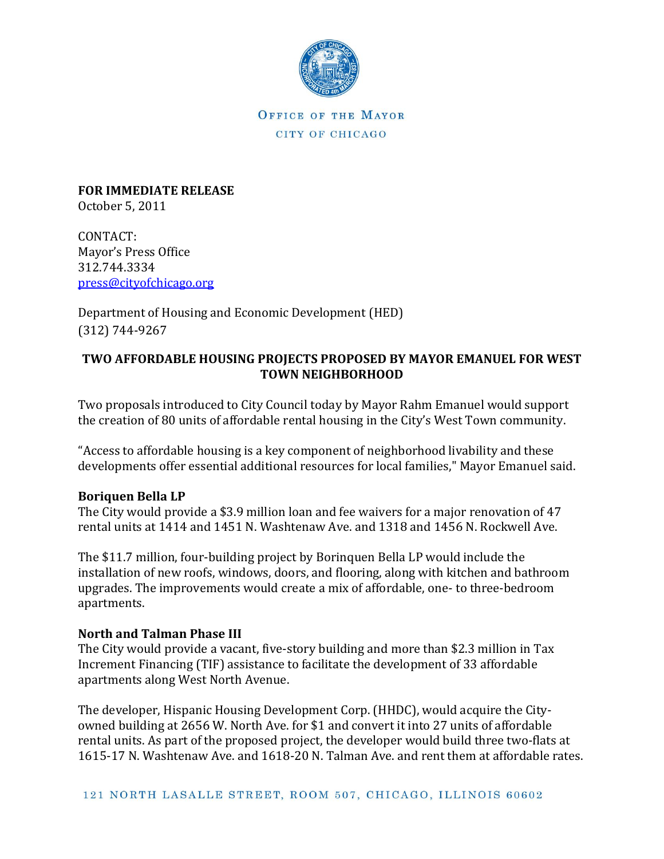

OFFICE OF THE MAYOR CITY OF CHICAGO

**FOR IMMEDIATE RELEASE** October 5, 2011

CONTACT: Mayor's Press Office 312.744.3334 [press@cityofchicago.org](mailto:press@cityofchicago.org)

Department of Housing and Economic Development (HED) (312) 744-9267

## **TWO AFFORDABLE HOUSING PROJECTS PROPOSED BY MAYOR EMANUEL FOR WEST TOWN NEIGHBORHOOD**

Two proposals introduced to City Council today by Mayor Rahm Emanuel would support the creation of 80 units of affordable rental housing in the City's West Town community.

"Access to affordable housing is a key component of neighborhood livability and these developments offer essential additional resources for local families," Mayor Emanuel said.

## **Boriquen Bella LP**

The City would provide a \$3.9 million loan and fee waivers for a major renovation of 47 rental units at 1414 and 1451 N. Washtenaw Ave. and 1318 and 1456 N. Rockwell Ave.

The \$11.7 million, four-building project by Borinquen Bella LP would include the installation of new roofs, windows, doors, and flooring, along with kitchen and bathroom upgrades. The improvements would create a mix of affordable, one- to three-bedroom apartments.

## **North and Talman Phase III**

The City would provide a vacant, five-story building and more than \$2.3 million in Tax Increment Financing (TIF) assistance to facilitate the development of 33 affordable apartments along West North Avenue.

The developer, Hispanic Housing Development Corp. (HHDC), would acquire the Cityowned building at 2656 W. North Ave. for \$1 and convert it into 27 units of affordable rental units. As part of the proposed project, the developer would build three two-flats at 1615-17 N. Washtenaw Ave. and 1618-20 N. Talman Ave. and rent them at affordable rates.